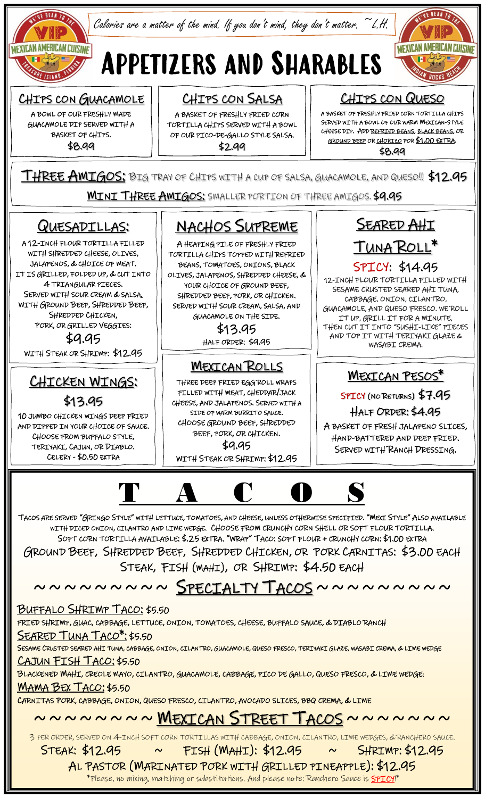